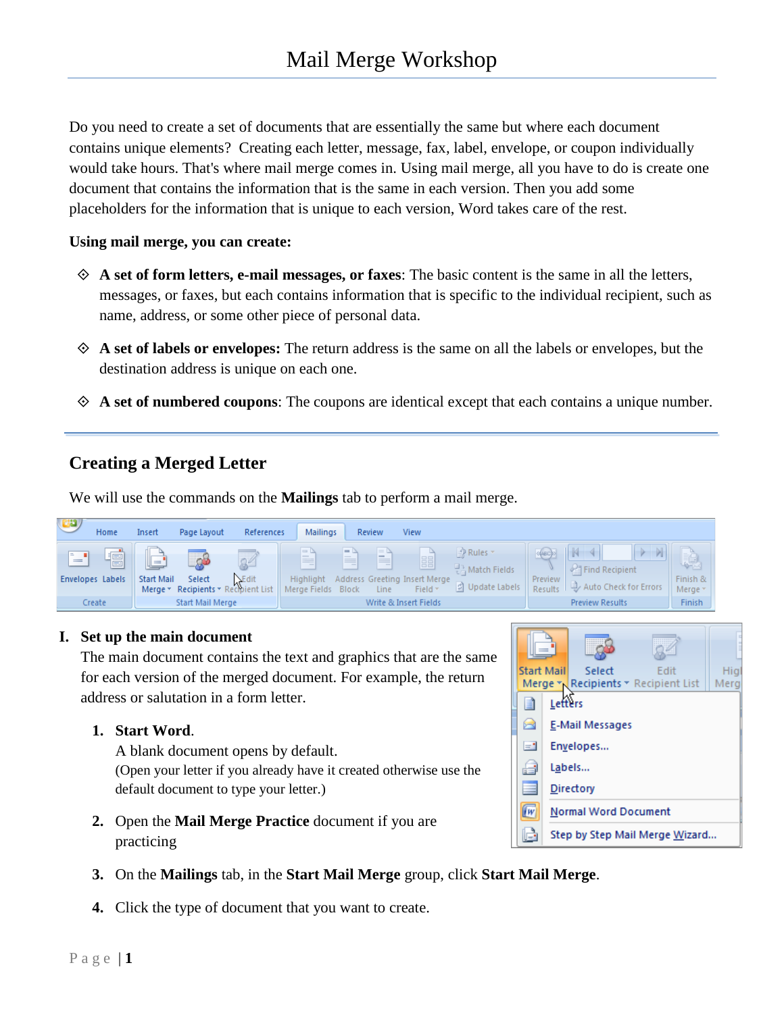Do you need to create a set of documents that are essentially the same but where each document contains unique elements? Creating each letter, message, fax, label, envelope, or coupon individually would take hours. That's where mail merge comes in. Using mail merge, all you have to do is create one document that contains the information that is the same in each version. Then you add some placeholders for the information that is unique to each version, Word takes care of the rest.

#### **Using mail merge, you can create:**

- **A set of form letters, e-mail messages, or faxes**: The basic content is the same in all the letters, messages, or faxes, but each contains information that is specific to the individual recipient, such as name, address, or some other piece of personal data.
- **A set of labels or envelopes:** The return address is the same on all the labels or envelopes, but the destination address is unique on each one.
- **A set of numbered coupons**: The coupons are identical except that each contains a unique number.

## **Creating a Merged Letter**

We will use the commands on the **Mailings** tab to perform a mail merge.



#### **I. Set up the main document**

The main document contains the text and graphics that are the same for each version of the merged document. For example, the return address or salutation in a form letter.

#### **1. Start Word**.

A blank document opens by default. (Open your letter if you already have it created otherwise use the default document to type your letter.)

- **2.** Open the **Mail Merge Practice** document if you are practicing
- **3.** On the **Mailings** tab, in the **Start Mail Merge** group, click **Start Mail Merge**.
- **4.** Click the type of document that you want to create.

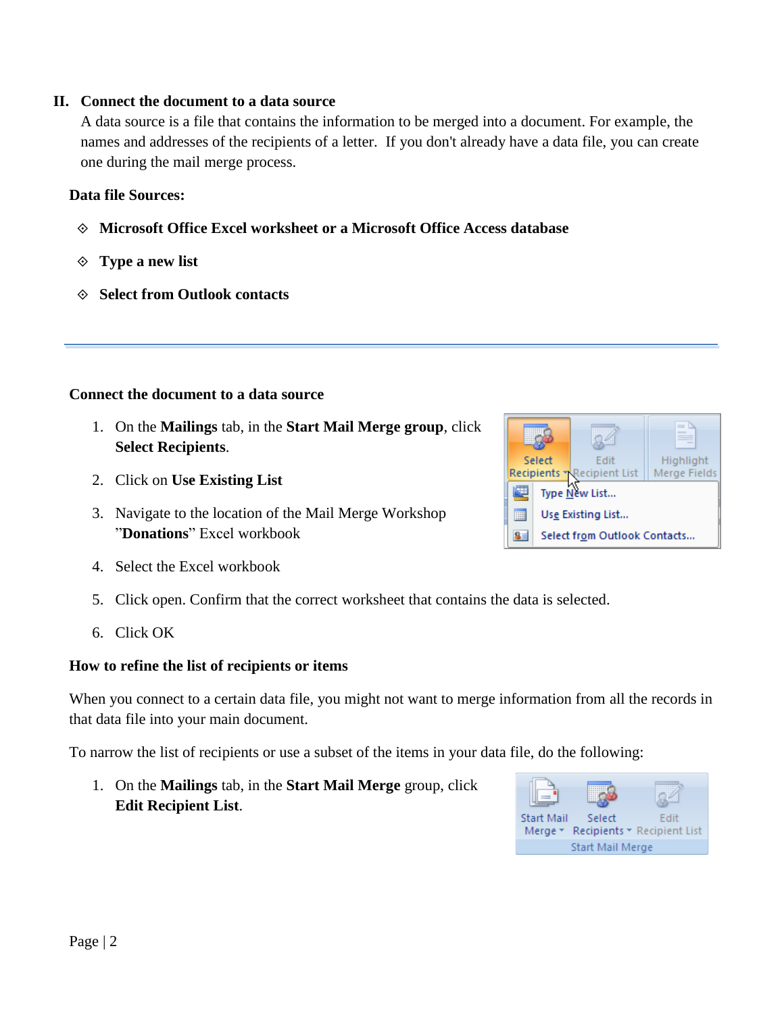## **II. Connect the document to a data source**

A data source is a file that contains the information to be merged into a document. For example, the names and addresses of the recipients of a letter. If you don't already have a data file, you can create one during the mail merge process.

## **Data file Sources:**

- **Microsoft Office Excel worksheet or a Microsoft Office Access database**
- **Type a new list**
- **Select from Outlook contacts**

# **Connect the document to a data source**

- 1. On the **Mailings** tab, in the **Start Mail Merge group**, click **Select Recipients**.
- 2. Click on **Use Existing List**
- 3. Navigate to the location of the Mail Merge Workshop "**Donations**" Excel workbook
- 4. Select the Excel workbook
- 5. Click open. Confirm that the correct worksheet that contains the data is selected.
- 6. Click OK

# **How to refine the list of recipients or items**

When you connect to a certain data file, you might not want to merge information from all the records in that data file into your main document.

To narrow the list of recipients or use a subset of the items in your data file, do the following:

1. On the **Mailings** tab, in the **Start Mail Merge** group, click **Edit Recipient List**.

| <b>Start Mail</b>       | Select | Fdit                                |  |
|-------------------------|--------|-------------------------------------|--|
|                         |        | Merge * Recipients * Recipient List |  |
| <b>Start Mail Merge</b> |        |                                     |  |

| Select                             | <b>F</b> dit                     | Highlight    |  |  |
|------------------------------------|----------------------------------|--------------|--|--|
|                                    | <b>Recipients Recipient List</b> | Merge Fields |  |  |
| Type New List                      |                                  |              |  |  |
| Use Existing List                  |                                  |              |  |  |
| Select from Outlook Contacts<br>s≡ |                                  |              |  |  |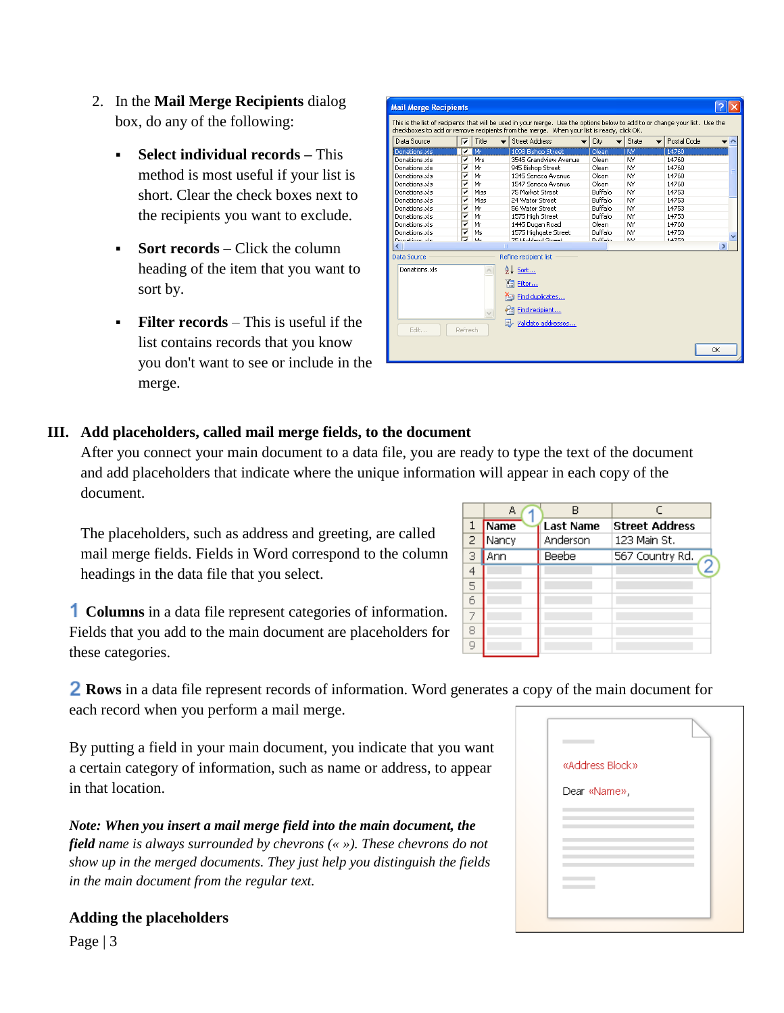- 2. In the **Mail Merge Recipients** dialog box, do any of the following:
	- **Select individual records –** This method is most useful if your list is short. Clear the check boxes next to the recipients you want to exclude.
	- **Sort records** Click the column heading of the item that you want to sort by.
	- **Filter records** This is useful if the list contains records that you know you don't want to see or include in the merge.

| Data Source        | ⊽                       | Title | <b>Street Address</b> | City           | State     | Postal Code<br>$\overline{\phantom{a}}$ |               |
|--------------------|-------------------------|-------|-----------------------|----------------|-----------|-----------------------------------------|---------------|
| Donations, xls     | ⊽                       | Mr    | 1098 Bishop Street    | Olean          | <b>NY</b> | 14760                                   |               |
| Donations, xls     | ✓                       | Mrs   | 3545 Grandview Avenue | Olean          | NY        | 14760                                   |               |
| Donations.xls      | ⊽                       | Mr    | 945 Bishop Street     | Olean          | <b>NY</b> | 14760                                   |               |
| Donations.xls      | ⊽                       | Mr    | 1345 Seneca Avenue    | Olean          | NY.       | 14760                                   |               |
| Donations, xls     | ⊽                       | Mr    | 1547 Seneca Avenue    | Olean          | NY        | 14760                                   |               |
| Donations.xls      | ⊽                       | Miss  | 75 Market Street      | Buffalo        | NY        | 14753                                   |               |
| Donations.xls      | $\overline{\mathbf{v}}$ | Miss  | 24 Water Street       | Buffalo        | NY        | 14753                                   |               |
| Donations.xls      | ⊽                       | Mr    | 56 Water Street       | Buffalo        | NY        | 14753                                   |               |
| Donations, xls     | ⊽                       | Mr    | 1575 High Street      | Buffalo        | <b>NY</b> | 14753                                   |               |
| Donations, xls     | ⊽                       | Mr    | 1445 Dugan Road       | Olean          | <b>NY</b> | 14760                                   |               |
| Donations.xls      | ⊽                       | Ms    | 1575 Highgate Street  | Buffalo        | NY.       | 14753                                   |               |
| Donatione vle      | □                       | Me    | 75 Highland Street    | <b>Ruffalo</b> | <b>NV</b> | 14753                                   |               |
|                    |                         |       | <b>TITL</b>           |                |           |                                         | $\rightarrow$ |
| <b>Data Source</b> |                         |       | Refine recipient list |                |           |                                         |               |
| Donations, xls     |                         |       | <b>4↓ Sort</b>        |                |           |                                         |               |
|                    |                         |       | Filter                |                |           |                                         |               |
|                    |                         |       | Find duplicates       |                |           |                                         |               |
|                    |                         |       | Find recipient        |                |           |                                         |               |
|                    |                         |       | Validate addresses    |                |           |                                         |               |

### **III. Add placeholders, called mail merge fields, to the document**

After you connect your main document to a data file, you are ready to type the text of the document and add placeholders that indicate where the unique information will appear in each copy of the document.

The placeholders, such as address and greeting, are called mail merge fields. Fields in Word correspond to the column headings in the data file that you select.

**Columns** in a data file represent categories of information. Fields that you add to the main document are placeholders for these categories.

**Rows** in a data file represent records of information. Word generates a copy of the main document for each record when you perform a mail merge.

By putting a field in your main document, you indicate that you want a certain category of information, such as name or address, to appear in that location.

*Note: When you insert a mail merge field into the main document, the field name is always surrounded by chevrons (« »). These chevrons do not show up in the merged documents. They just help you distinguish the fields in the main document from the regular text.*

#### **Adding the placeholders**

Page | 3

|   | А     | B                |                       |
|---|-------|------------------|-----------------------|
|   | Name  | <b>Last Name</b> | <b>Street Address</b> |
| 2 | Nancy | Anderson         | 123 Main St.          |
| З | Ann   | <b>Beebe</b>     | 567 Country Rd.       |
| 4 |       |                  |                       |
| 5 |       |                  |                       |
| 6 |       |                  |                       |
|   |       |                  |                       |
| 8 |       |                  |                       |
| 9 |       |                  |                       |

| «Address Block» |  |
|-----------------|--|
| Dear «Name»,    |  |
|                 |  |
|                 |  |
|                 |  |
|                 |  |
|                 |  |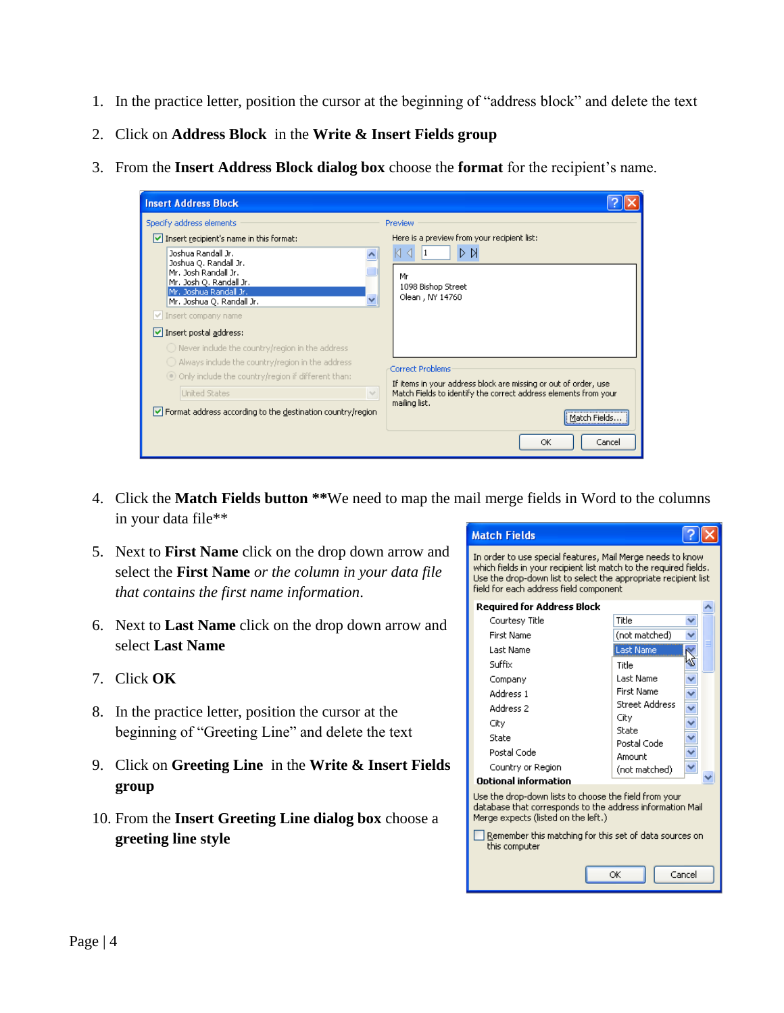- 1. In the practice letter, position the cursor at the beginning of "address block" and delete the text
- 2. Click on **Address Block** in the **Write & Insert Fields group**
- 3. From the **Insert Address Block dialog box** choose the **format** for the recipient's name.

| <b>Insert Address Block</b>                                                                                                                                                                                                                                                                                                                                         |                                                                                                                                                                         |
|---------------------------------------------------------------------------------------------------------------------------------------------------------------------------------------------------------------------------------------------------------------------------------------------------------------------------------------------------------------------|-------------------------------------------------------------------------------------------------------------------------------------------------------------------------|
| Specify address elements<br>$\vee$ Insert recipient's name in this format:<br>Joshua Randall Jr.<br>Joshua Q. Randall Jr.<br>Mr. Josh Randall Jr.<br>Mr. Josh Q. Randall Jr.<br>Mr. Joshua Randall Jr.<br>Mr. Joshua Q. Randall Jr.<br>Insert company name<br>$\triangleright$ Insert postal address:<br>$\bigcirc$ Never include the country/region in the address | Preview<br>Here is a preview from your recipient list:<br>D<br>▷<br>Mr<br>1098 Bishop Street<br>Olean, NY 14760                                                         |
| Always include the country/region in the address<br>O Only include the country/region if different than:<br><b>United States</b><br>$\vee$                                                                                                                                                                                                                          | Correct Problems<br>If items in your address block are missing or out of order, use<br>Match Fields to identify the correct address elements from your<br>mailing list. |
| $\vee$ Format address according to the destination country/region                                                                                                                                                                                                                                                                                                   | Match Fields.<br>OK<br>Cancel                                                                                                                                           |

- 4. Click the **Match Fields button \*\***We need to map the mail merge fields in Word to the columns in your data file\*\*
- 5. Next to **First Name** click on the drop down arrow and select the **First Name** *or the column in your data file that contains the first name information*.
- 6. Next to **Last Name** click on the drop down arrow and select **Last Name**
- 7. Click **OK**
- 8. In the practice letter, position the cursor at the beginning of "Greeting Line" and delete the text
- 9. Click on **Greeting Line** in the **Write & Insert Fields group**
- 10. From the **Insert Greeting Line dialog box** choose a **greeting line style**

| <b>Match Fields</b>                                                                                                                                                                                                                          |                       |  |  |  |
|----------------------------------------------------------------------------------------------------------------------------------------------------------------------------------------------------------------------------------------------|-----------------------|--|--|--|
| In order to use special features, Mail Merge needs to know<br>which fields in your recipient list match to the required fields.<br>Use the drop-down list to select the appropriate recipient list<br>field for each address field component |                       |  |  |  |
| <b>Required for Address Block</b>                                                                                                                                                                                                            |                       |  |  |  |
| Courtesy Title                                                                                                                                                                                                                               | Title                 |  |  |  |
| <b>First Name</b>                                                                                                                                                                                                                            | (not matched)         |  |  |  |
| Last Name                                                                                                                                                                                                                                    | <b>Last Name</b>      |  |  |  |
| Suffix                                                                                                                                                                                                                                       | Title                 |  |  |  |
| Company                                                                                                                                                                                                                                      | Last Name             |  |  |  |
| Address 1                                                                                                                                                                                                                                    | First Name            |  |  |  |
| Address 2                                                                                                                                                                                                                                    | <b>Street Address</b> |  |  |  |
| City                                                                                                                                                                                                                                         | City<br>State         |  |  |  |
| State                                                                                                                                                                                                                                        | Postal Code           |  |  |  |
| Postal Code                                                                                                                                                                                                                                  | Amount                |  |  |  |
| Country or Region                                                                                                                                                                                                                            | (not matched)         |  |  |  |
| Ontional information                                                                                                                                                                                                                         |                       |  |  |  |
| Use the drop-down lists to choose the field from your<br>database that corresponds to the address information Mail<br>Merge expects (listed on the left.)                                                                                    |                       |  |  |  |
| Remember this matching for this set of data sources on<br>this computer                                                                                                                                                                      |                       |  |  |  |
| OK<br>Cancel                                                                                                                                                                                                                                 |                       |  |  |  |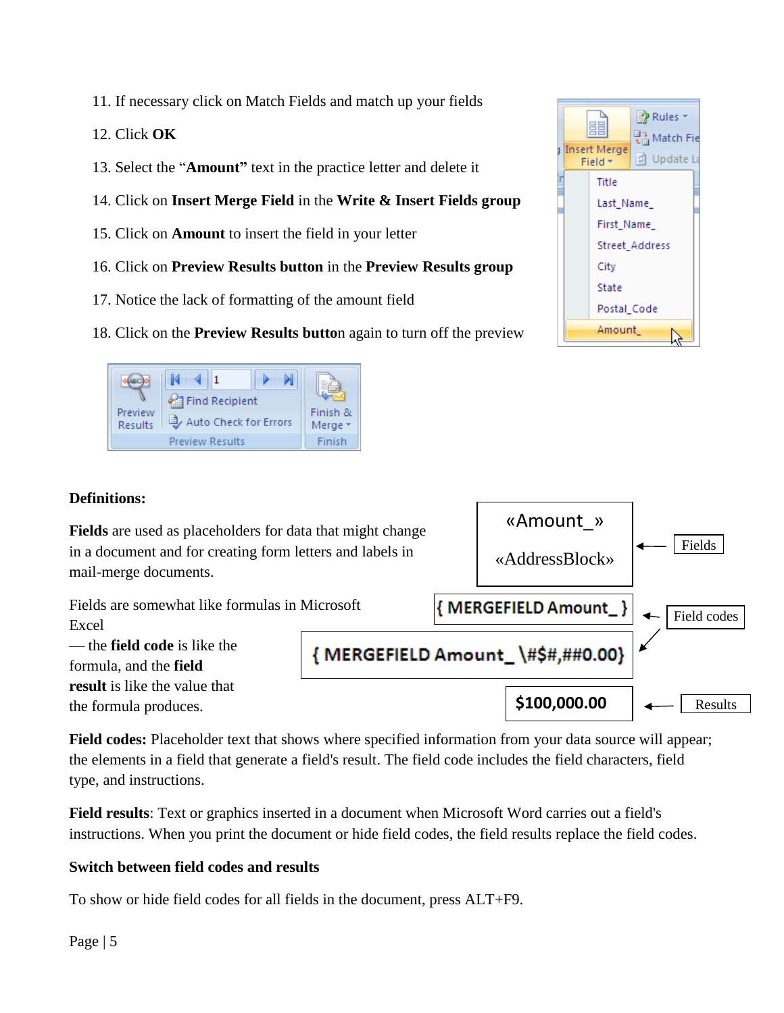- 11. If necessary click on Match Fields and match up your fields
- 12. Click **OK**
- 13. Select the "**Amount"** text in the practice letter and delete it
- 14. Click on **Insert Merge Field** in the **Write & Insert Fields group**
- 15. Click on **Amount** to insert the field in your letter
- 16. Click on **Preview Results button** in the **Preview Results group**
- 17. Notice the lack of formatting of the amount field
- 18. Click on the **Preview Results butto**n again to turn off the preview



## **Definitions:**

**Fields** are used as placeholders for data that might change in a document and for creating form letters and labels in mail-merge documents.



**Field codes:** Placeholder text that shows where specified information from your data source will appear; the elements in a field that generate a field's result. The field code includes the field characters, field type, and instructions.

**Field results**: Text or graphics inserted in a document when Microsoft Word carries out a field's instructions. When you print the document or hide field codes, the field results replace the field codes.

## **Switch between field codes and results**

To show or hide field codes for all fields in the document, press ALT+F9.



«Amount\_»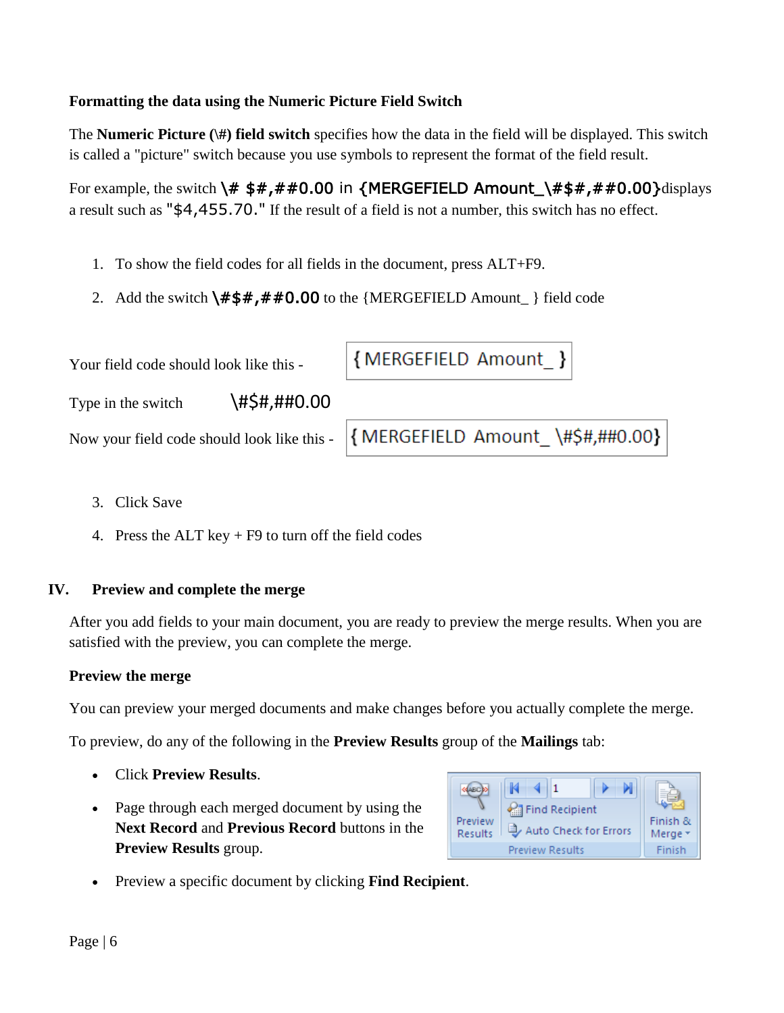### **Formatting the data using the Numeric Picture Field Switch**

The **Numeric Picture (\#) field switch** specifies how the data in the field will be displayed. This switch is called a "picture" switch because you use symbols to represent the format of the field result.

For example, the switch  $\forall$ # \$#,##0.00 in {MERGEFIELD Amount\_ $\forall$ #\$#,##0.00}displays a result such as "\$4,455.70." If the result of a field is not a number, this switch has no effect.

- 1. To show the field codes for all fields in the document, press ALT+F9.
- 2. Add the switch  $\frac{# $# , # \# 0.00}{ }$  to the {MERGEFIELD Amount\_} field code

| Your field code should look like this - |              | {MERGEFIELD Amount_}                                                          |
|-----------------------------------------|--------------|-------------------------------------------------------------------------------|
| Type in the switch                      | \#\$#,##0.00 |                                                                               |
|                                         |              | Now your field code should look like this - { MERGEFIELD Amount \#\$#,##0.00} |
|                                         |              |                                                                               |

- 3. Click Save
- 4. Press the ALT key  $+ F9$  to turn off the field codes

### **IV. Preview and complete the merge**

After you add fields to your main document, you are ready to preview the merge results. When you are satisfied with the preview, you can complete the merge.

### **Preview the merge**

You can preview your merged documents and make changes before you actually complete the merge.

To preview, do any of the following in the **Preview Results** group of the **Mailings** tab:

- Click **Preview Results**.
- Page through each merged document by using the **Next Record** and **Previous Record** buttons in the **Preview Results** group.



Preview a specific document by clicking **Find Recipient**.